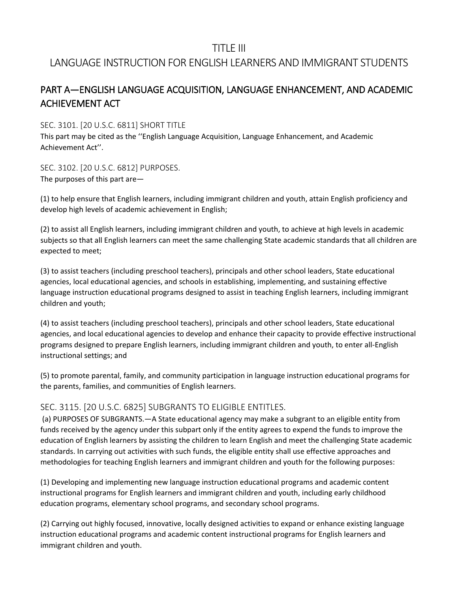## TITLE III

## LANGUAGE INSTRUCTION FOR ENGLISH LEARNERS AND IMMIGRANT STUDENTS

## PART A—ENGLISH LANGUAGE ACQUISITION, LANGUAGE ENHANCEMENT, AND ACADEMIC ACHIEVEMENT ACT

SEC. 3101. [20 U.S.C. 6811] SHORT TITLE

This part may be cited as the ''English Language Acquisition, Language Enhancement, and Academic Achievement Act''.

SEC. 3102. [20 U.S.C. 6812] PURPOSES. The purposes of this part are—

(1) to help ensure that English learners, including immigrant children and youth, attain English proficiency and develop high levels of academic achievement in English;

(2) to assist all English learners, including immigrant children and youth, to achieve at high levels in academic subjects so that all English learners can meet the same challenging State academic standards that all children are expected to meet;

(3) to assist teachers (including preschool teachers), principals and other school leaders, State educational agencies, local educational agencies, and schools in establishing, implementing, and sustaining effective language instruction educational programs designed to assist in teaching English learners, including immigrant children and youth;

(4) to assist teachers (including preschool teachers), principals and other school leaders, State educational agencies, and local educational agencies to develop and enhance their capacity to provide effective instructional programs designed to prepare English learners, including immigrant children and youth, to enter all-English instructional settings; and

(5) to promote parental, family, and community participation in language instruction educational programs for the parents, families, and communities of English learners.

## SEC. 3115. [20 U.S.C. 6825] SUBGRANTS TO ELIGIBLE ENTITLES.

(a) PURPOSES OF SUBGRANTS.—A State educational agency may make a subgrant to an eligible entity from funds received by the agency under this subpart only if the entity agrees to expend the funds to improve the education of English learners by assisting the children to learn English and meet the challenging State academic standards. In carrying out activities with such funds, the eligible entity shall use effective approaches and methodologies for teaching English learners and immigrant children and youth for the following purposes:

(1) Developing and implementing new language instruction educational programs and academic content instructional programs for English learners and immigrant children and youth, including early childhood education programs, elementary school programs, and secondary school programs.

(2) Carrying out highly focused, innovative, locally designed activities to expand or enhance existing language instruction educational programs and academic content instructional programs for English learners and immigrant children and youth.